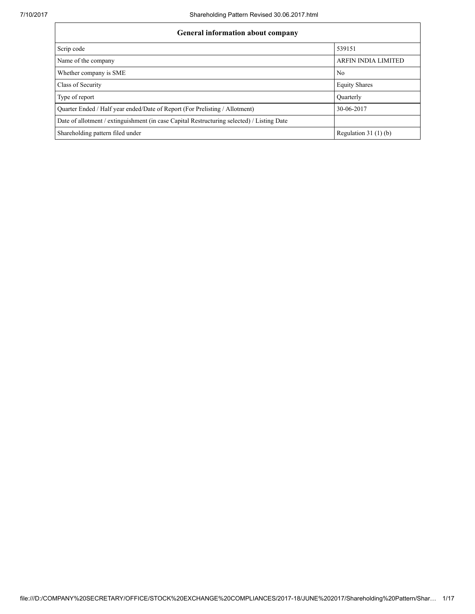| <b>General information about company</b>                                                   |                            |  |  |  |  |  |  |
|--------------------------------------------------------------------------------------------|----------------------------|--|--|--|--|--|--|
| Scrip code                                                                                 | 539151                     |  |  |  |  |  |  |
| Name of the company                                                                        | <b>ARFIN INDIA LIMITED</b> |  |  |  |  |  |  |
| Whether company is SME                                                                     | N <sub>0</sub>             |  |  |  |  |  |  |
| Class of Security                                                                          | <b>Equity Shares</b>       |  |  |  |  |  |  |
| Type of report                                                                             | Quarterly                  |  |  |  |  |  |  |
| Quarter Ended / Half year ended/Date of Report (For Prelisting / Allotment)                | 30-06-2017                 |  |  |  |  |  |  |
| Date of allotment / extinguishment (in case Capital Restructuring selected) / Listing Date |                            |  |  |  |  |  |  |
| Shareholding pattern filed under                                                           | Regulation $31(1)(b)$      |  |  |  |  |  |  |
|                                                                                            |                            |  |  |  |  |  |  |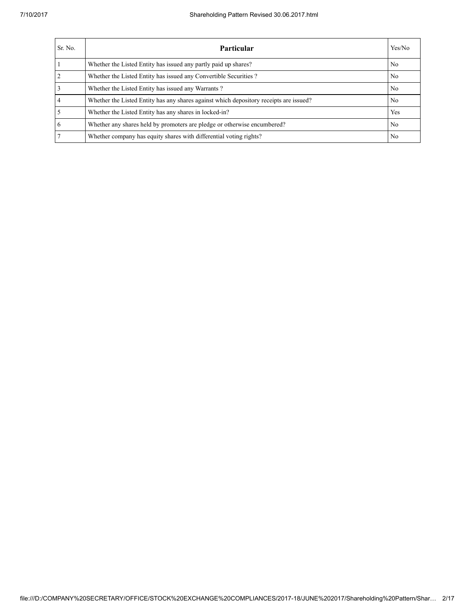### 7/10/2017 Shareholding Pattern Revised 30.06.2017.html

| Sr. No.         | <b>Particular</b>                                                                      | Yes/No |
|-----------------|----------------------------------------------------------------------------------------|--------|
|                 | Whether the Listed Entity has issued any partly paid up shares?                        | No.    |
| 2               | Whether the Listed Entity has issued any Convertible Securities?                       | No.    |
| $\overline{3}$  | Whether the Listed Entity has issued any Warrants?                                     | No.    |
| $\overline{4}$  | Whether the Listed Entity has any shares against which depository receipts are issued? | No.    |
| $\overline{5}$  | Whether the Listed Entity has any shares in locked-in?                                 | Yes    |
| $6\overline{6}$ | Whether any shares held by promoters are pledge or otherwise encumbered?               | No.    |
| 7               | Whether company has equity shares with differential voting rights?                     | No     |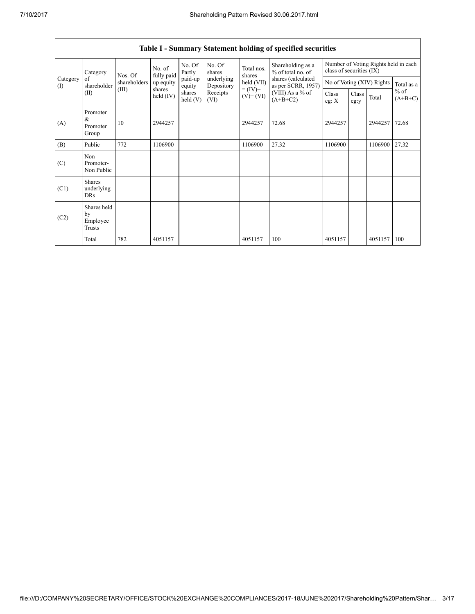### 7/10/2017 Shareholding Pattern Revised 30.06.2017.html

|                 | Table I - Summary Statement holding of specified securities |              |                         |                    |                          |                                           |                                          |                                                                  |               |                           |                     |  |  |
|-----------------|-------------------------------------------------------------|--------------|-------------------------|--------------------|--------------------------|-------------------------------------------|------------------------------------------|------------------------------------------------------------------|---------------|---------------------------|---------------------|--|--|
|                 | Category                                                    | Nos. Of      |                         | No. Of<br>Partly   | No. Of<br>shares         | Total nos.<br>% of total no. of<br>shares | Shareholding as a                        | Number of Voting Rights held in each<br>class of securities (IX) |               |                           |                     |  |  |
| Category<br>(I) | of<br>shareholder                                           | shareholders | fully paid<br>up equity | paid-up<br>equity  | underlying<br>Depository | held (VII)                                | shares (calculated<br>as per SCRR, 1957) |                                                                  |               | No of Voting (XIV) Rights | Total as a          |  |  |
|                 | (II)                                                        | (III)        | shares<br>held $(IV)$   | shares<br>held (V) | Receipts<br>(VI)         | $= (IV) +$<br>$(V)+(VI)$                  | (VIII) As a % of<br>$(A+B+C2)$           | Class<br>eg: $X$                                                 | Class<br>eg:y | Total                     | $%$ of<br>$(A+B+C)$ |  |  |
| (A)             | Promoter<br>&<br>Promoter<br>Group                          | 10           | 2944257                 |                    |                          | 2944257                                   | 72.68                                    | 2944257                                                          |               | 2944257                   | 72.68               |  |  |
| (B)             | Public                                                      | 772          | 1106900                 |                    |                          | 1106900                                   | 27.32                                    | 1106900                                                          |               | 1106900                   | 27.32               |  |  |
| (C)             | Non<br>Promoter-<br>Non Public                              |              |                         |                    |                          |                                           |                                          |                                                                  |               |                           |                     |  |  |
| (C1)            | <b>Shares</b><br>underlying<br><b>DRs</b>                   |              |                         |                    |                          |                                           |                                          |                                                                  |               |                           |                     |  |  |
| (C2)            | Shares held<br>by<br>Employee<br>Trusts                     |              |                         |                    |                          |                                           |                                          |                                                                  |               |                           |                     |  |  |
|                 | Total                                                       | 782          | 4051157                 |                    |                          | 4051157                                   | 100                                      | 4051157                                                          |               | 4051157                   | 100                 |  |  |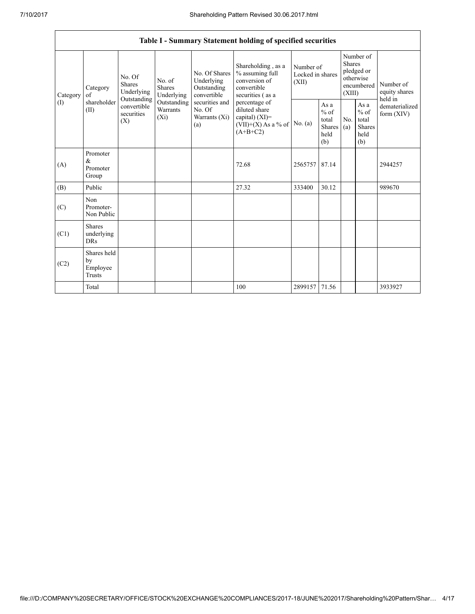|                 | Table I - Summary Statement holding of specified securities |                                                                                                     |                                       |                                                                                                               |                                                                                            |                                        |                                                  |                                                                               |                                                         |                                       |  |  |  |
|-----------------|-------------------------------------------------------------|-----------------------------------------------------------------------------------------------------|---------------------------------------|---------------------------------------------------------------------------------------------------------------|--------------------------------------------------------------------------------------------|----------------------------------------|--------------------------------------------------|-------------------------------------------------------------------------------|---------------------------------------------------------|---------------------------------------|--|--|--|
| Category<br>(I) | Category<br>of<br>shareholder<br>(II)                       | No. Of<br><b>Shares</b><br>Underlying<br>Outstanding<br>convertible<br>securities<br>$(X_i)$<br>(X) | No. of<br><b>Shares</b><br>Underlying | No. Of Shares<br>Underlying<br>Outstanding<br>convertible<br>securities and<br>No. Of<br>Warrants (Xi)<br>(a) | Shareholding, as a<br>% assuming full<br>conversion of<br>convertible<br>securities (as a  | Number of<br>Locked in shares<br>(XII) |                                                  | Number of<br><b>Shares</b><br>pledged or<br>otherwise<br>encumbered<br>(XIII) |                                                         | Number of<br>equity shares<br>held in |  |  |  |
|                 |                                                             |                                                                                                     | Outstanding<br>Warrants               |                                                                                                               | percentage of<br>diluted share<br>capital) $(XI)$ =<br>$(VII)+(X)$ As a % of<br>$(A+B+C2)$ | No. (a)                                | As a<br>$%$ of<br>total<br>Shares<br>held<br>(b) | No.<br>(a)                                                                    | As a<br>$%$ of<br>total<br><b>Shares</b><br>held<br>(b) | dematerialized<br>form $(XIV)$        |  |  |  |
| (A)             | Promoter<br>&<br>Promoter<br>Group                          |                                                                                                     |                                       |                                                                                                               | 72.68                                                                                      | 2565757 87.14                          |                                                  |                                                                               |                                                         | 2944257                               |  |  |  |
| (B)             | Public                                                      |                                                                                                     |                                       |                                                                                                               | 27.32                                                                                      | 333400                                 | 30.12                                            |                                                                               |                                                         | 989670                                |  |  |  |
| (C)             | Non<br>Promoter-<br>Non Public                              |                                                                                                     |                                       |                                                                                                               |                                                                                            |                                        |                                                  |                                                                               |                                                         |                                       |  |  |  |
| (C1)            | <b>Shares</b><br>underlying<br><b>DRs</b>                   |                                                                                                     |                                       |                                                                                                               |                                                                                            |                                        |                                                  |                                                                               |                                                         |                                       |  |  |  |
| (C2)            | Shares held<br>by<br>Employee<br><b>Trusts</b>              |                                                                                                     |                                       |                                                                                                               |                                                                                            |                                        |                                                  |                                                                               |                                                         |                                       |  |  |  |
|                 | Total                                                       |                                                                                                     |                                       |                                                                                                               | 100                                                                                        | 2899157                                | 71.56                                            |                                                                               |                                                         | 3933927                               |  |  |  |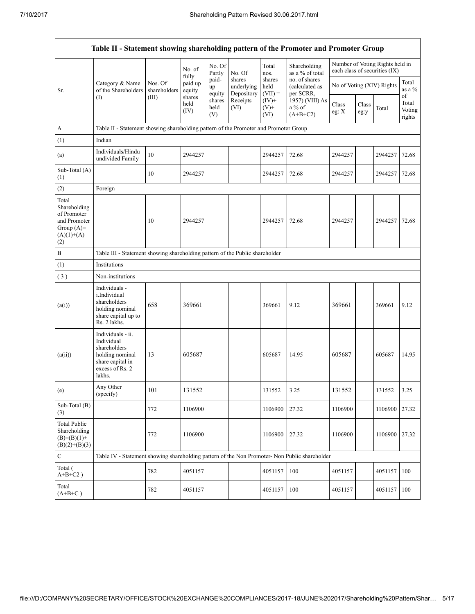|                                                                                             | Table II - Statement showing shareholding pattern of the Promoter and Promoter Group                                |                         |                            |                       |                                    |                             |                                              |                  |               |                                                                  |                                 |
|---------------------------------------------------------------------------------------------|---------------------------------------------------------------------------------------------------------------------|-------------------------|----------------------------|-----------------------|------------------------------------|-----------------------------|----------------------------------------------|------------------|---------------|------------------------------------------------------------------|---------------------------------|
|                                                                                             |                                                                                                                     |                         | No. of                     | No. Of<br>Partly      | No. Of                             | Total<br>nos.               | Shareholding<br>as a % of total              |                  |               | Number of Voting Rights held in<br>each class of securities (IX) |                                 |
| Sr.                                                                                         | Category & Name<br>of the Shareholders                                                                              | Nos. Of<br>shareholders | fully<br>paid up<br>equity | paid-<br>up<br>equity | shares<br>underlying<br>Depository | shares<br>held<br>$(VII) =$ | no. of shares<br>(calculated as<br>per SCRR, |                  |               | No of Voting (XIV) Rights                                        | Total<br>as a %                 |
|                                                                                             | (1)                                                                                                                 | (III)                   | shares<br>held<br>(IV)     | shares<br>held<br>(V) | Receipts<br>(VI)                   | $(IV)$ +<br>$(V)$ +<br>(VI) | 1957) (VIII) As<br>$a\%$ of<br>$(A+B+C2)$    | Class<br>eg: $X$ | Class<br>eg:y | Total                                                            | of<br>Total<br>Voting<br>rights |
| A                                                                                           | Table II - Statement showing shareholding pattern of the Promoter and Promoter Group                                |                         |                            |                       |                                    |                             |                                              |                  |               |                                                                  |                                 |
| (1)                                                                                         | Indian                                                                                                              |                         |                            |                       |                                    |                             |                                              |                  |               |                                                                  |                                 |
| (a)                                                                                         | Individuals/Hindu<br>undivided Family                                                                               | 10                      | 2944257                    |                       |                                    | 2944257                     | 72.68                                        | 2944257          |               | 2944257                                                          | 72.68                           |
| Sub-Total (A)<br>(1)                                                                        |                                                                                                                     | 10                      | 2944257                    |                       |                                    | 2944257                     | 72.68                                        | 2944257          |               | 2944257                                                          | 72.68                           |
| (2)                                                                                         | Foreign                                                                                                             |                         |                            |                       |                                    |                             |                                              |                  |               |                                                                  |                                 |
| Total<br>Shareholding<br>of Promoter<br>and Promoter<br>Group $(A)=$<br>$(A)(1)+(A)$<br>(2) |                                                                                                                     | 10                      | 2944257                    |                       |                                    | 2944257                     | 72.68                                        | 2944257          |               | 2944257                                                          | 72.68                           |
| B                                                                                           | Table III - Statement showing shareholding pattern of the Public shareholder                                        |                         |                            |                       |                                    |                             |                                              |                  |               |                                                                  |                                 |
| (1)                                                                                         | Institutions                                                                                                        |                         |                            |                       |                                    |                             |                                              |                  |               |                                                                  |                                 |
| (3)                                                                                         | Non-institutions                                                                                                    |                         |                            |                       |                                    |                             |                                              |                  |               |                                                                  |                                 |
| (a(i))                                                                                      | Individuals -<br>i.Individual<br>shareholders<br>holding nominal<br>share capital up to<br>Rs. 2 lakhs.             | 658                     | 369661                     |                       |                                    | 369661                      | 9.12                                         | 369661           |               | 369661                                                           | 9.12                            |
| (a(ii))                                                                                     | Individuals - ii.<br>Individual<br>shareholders<br>holding nominal<br>share capital in<br>excess of Rs. 2<br>lakhs. | 13                      | 605687                     |                       |                                    | 605687                      | 14.95                                        | 605687           |               | 605687                                                           | 14.95                           |
| (e)                                                                                         | Any Other<br>(specify)                                                                                              | 101                     | 131552                     |                       |                                    | 131552                      | 3.25                                         | 131552           |               | 131552                                                           | 3.25                            |
| Sub-Total (B)<br>(3)                                                                        |                                                                                                                     | 772                     | 1106900                    |                       |                                    | 1106900                     | 27.32                                        | 1106900          |               | 1106900                                                          | 27.32                           |
| <b>Total Public</b><br>Shareholding<br>$(B)= (B)(1) +$<br>$(B)(2)+(B)(3)$                   |                                                                                                                     | 772                     | 1106900                    |                       |                                    | 1106900                     | 27.32                                        | 1106900          |               | 1106900                                                          | 27.32                           |
| $\mathbf C$                                                                                 | Table IV - Statement showing shareholding pattern of the Non Promoter- Non Public shareholder                       |                         |                            |                       |                                    |                             |                                              |                  |               |                                                                  |                                 |
| Total (<br>$A+B+C2$ )                                                                       |                                                                                                                     | 782                     | 4051157                    |                       |                                    | 4051157                     | 100                                          | 4051157          |               | 4051157                                                          | 100                             |
| Total<br>$(A+B+C)$                                                                          |                                                                                                                     | 782                     | 4051157                    |                       |                                    | 4051157                     | 100                                          | 4051157          |               | 4051157                                                          | 100                             |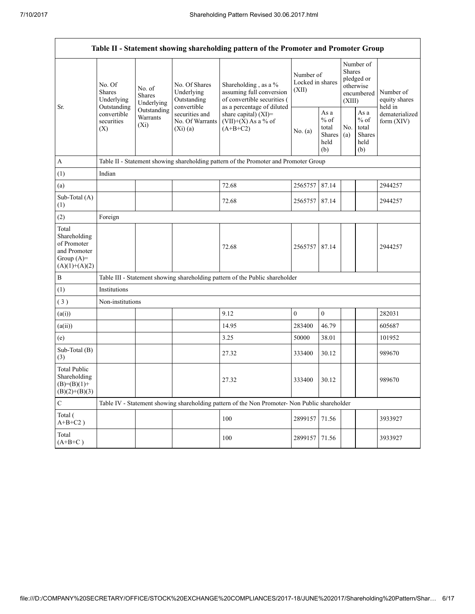|                                                                                         |                                                                                          |                                                                                      |                                                             | Table II - Statement showing shareholding pattern of the Promoter and Promoter Group          |                                        |                                                         |                         |                                                    |                                                                       |  |  |
|-----------------------------------------------------------------------------------------|------------------------------------------------------------------------------------------|--------------------------------------------------------------------------------------|-------------------------------------------------------------|-----------------------------------------------------------------------------------------------|----------------------------------------|---------------------------------------------------------|-------------------------|----------------------------------------------------|-----------------------------------------------------------------------|--|--|
|                                                                                         | No. Of<br><b>Shares</b><br>Underlying<br>Outstanding<br>convertible<br>securities<br>(X) | No. of<br><b>Shares</b><br>Underlying                                                | No. Of Shares<br>Underlying<br>Outstanding                  | Shareholding, as a %<br>assuming full conversion<br>of convertible securities (               | Number of<br>Locked in shares<br>(XII) |                                                         | <b>Shares</b><br>(XIII) | Number of<br>pledged or<br>otherwise<br>encumbered | Number of<br>equity shares<br>held in<br>dematerialized<br>form (XIV) |  |  |
| Sr.                                                                                     |                                                                                          | Outstanding<br>Warrants<br>$(X_i)$                                                   | convertible<br>securities and<br>No. Of Warrants<br>(Xi)(a) | as a percentage of diluted<br>share capital) (XI)=<br>$(VII)+(X)$ As a % of<br>$(A+B+C2)$     | No. (a)                                | As a<br>$%$ of<br>total<br><b>Shares</b><br>held<br>(b) | No.<br>(a)              | As a<br>$%$ of<br>total<br>Shares<br>held<br>(b)   |                                                                       |  |  |
| A                                                                                       |                                                                                          | Table II - Statement showing shareholding pattern of the Promoter and Promoter Group |                                                             |                                                                                               |                                        |                                                         |                         |                                                    |                                                                       |  |  |
| (1)                                                                                     | Indian                                                                                   |                                                                                      |                                                             |                                                                                               |                                        |                                                         |                         |                                                    |                                                                       |  |  |
| (a)                                                                                     |                                                                                          |                                                                                      |                                                             | 72.68                                                                                         | 2565757 87.14                          |                                                         |                         |                                                    | 2944257                                                               |  |  |
| Sub-Total (A)<br>(1)                                                                    |                                                                                          |                                                                                      |                                                             | 72.68                                                                                         | 2565757 87.14                          |                                                         |                         |                                                    | 2944257                                                               |  |  |
| (2)                                                                                     | Foreign                                                                                  |                                                                                      |                                                             |                                                                                               |                                        |                                                         |                         |                                                    |                                                                       |  |  |
| Total<br>Shareholding<br>of Promoter<br>and Promoter<br>Group $(A)=$<br>$(A)(1)+(A)(2)$ |                                                                                          |                                                                                      |                                                             | 72.68                                                                                         | 2565757 87.14                          |                                                         |                         |                                                    | 2944257                                                               |  |  |
| B                                                                                       |                                                                                          |                                                                                      |                                                             | Table III - Statement showing shareholding pattern of the Public shareholder                  |                                        |                                                         |                         |                                                    |                                                                       |  |  |
| (1)                                                                                     | Institutions                                                                             |                                                                                      |                                                             |                                                                                               |                                        |                                                         |                         |                                                    |                                                                       |  |  |
| (3)                                                                                     | Non-institutions                                                                         |                                                                                      |                                                             |                                                                                               |                                        |                                                         |                         |                                                    |                                                                       |  |  |
| (a(i))                                                                                  |                                                                                          |                                                                                      |                                                             | 9.12                                                                                          | $\mathbf{0}$                           | $\boldsymbol{0}$                                        |                         |                                                    | 282031                                                                |  |  |
| (a(ii))                                                                                 |                                                                                          |                                                                                      |                                                             | 14.95                                                                                         | 283400                                 | 46.79                                                   |                         |                                                    | 605687                                                                |  |  |
| (e)                                                                                     |                                                                                          |                                                                                      |                                                             | 3.25                                                                                          | 50000                                  | 38.01                                                   |                         |                                                    | 101952                                                                |  |  |
| Sub-Total (B)<br>(3)                                                                    |                                                                                          |                                                                                      |                                                             | 27.32                                                                                         | 333400                                 | 30.12                                                   |                         |                                                    | 989670                                                                |  |  |
| <b>Total Public</b><br>Shareholding<br>$(B)= (B)(1) +$<br>$(B)(2)+(B)(3)$               |                                                                                          |                                                                                      |                                                             | 27.32                                                                                         | 333400                                 | 30.12                                                   |                         |                                                    | 989670                                                                |  |  |
| C                                                                                       |                                                                                          |                                                                                      |                                                             | Table IV - Statement showing shareholding pattern of the Non Promoter- Non Public shareholder |                                        |                                                         |                         |                                                    |                                                                       |  |  |
| Total (<br>$\mathrm{A} \text{+} \mathrm{B} \text{+} \mathrm{C2}$ )                      |                                                                                          |                                                                                      |                                                             | 100                                                                                           | 2899157                                | 71.56                                                   |                         |                                                    | 3933927                                                               |  |  |
| Total<br>$(A+B+C)$                                                                      |                                                                                          |                                                                                      |                                                             | 100                                                                                           | 2899157 71.56                          |                                                         |                         |                                                    | 3933927                                                               |  |  |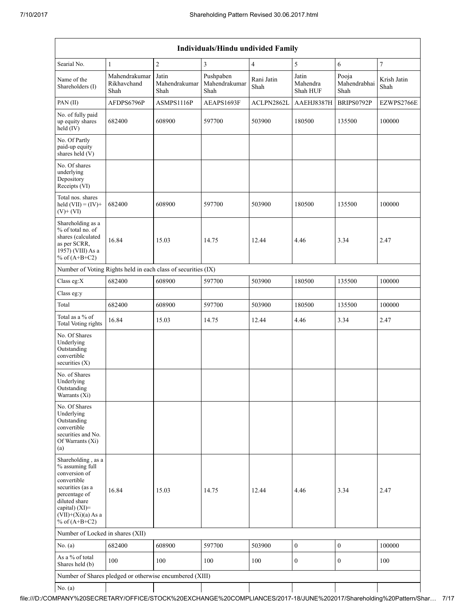|                                                                                                                                                                                          | Individuals/Hindu undivided Family   |                                |                                    |                    |                               |                               |                     |  |  |  |  |  |  |
|------------------------------------------------------------------------------------------------------------------------------------------------------------------------------------------|--------------------------------------|--------------------------------|------------------------------------|--------------------|-------------------------------|-------------------------------|---------------------|--|--|--|--|--|--|
| Searial No.                                                                                                                                                                              | 1                                    | $\overline{c}$                 | $\overline{3}$                     | $\overline{4}$     | 5                             | 6                             | $\overline{7}$      |  |  |  |  |  |  |
| Name of the<br>Shareholders (I)                                                                                                                                                          | Mahendrakumar<br>Rikhavchand<br>Shah | Jatin<br>Mahendrakumar<br>Shah | Pushpaben<br>Mahendrakumar<br>Shah | Rani Jatin<br>Shah | Jatin<br>Mahendra<br>Shah HUF | Pooja<br>Mahendrabhai<br>Shah | Krish Jatin<br>Shah |  |  |  |  |  |  |
| PAN (II)                                                                                                                                                                                 | AFDPS6796P                           | ASMPS1116P                     | AEAPS1693F                         | ACLPN2862L         | AAEHJ8387H                    | BRIPS0792P                    | EZWPS2766E          |  |  |  |  |  |  |
| No. of fully paid<br>up equity shares<br>held (IV)                                                                                                                                       | 682400                               | 608900                         | 597700                             | 503900             | 180500                        | 135500                        | 100000              |  |  |  |  |  |  |
| No. Of Partly<br>paid-up equity<br>shares held (V)                                                                                                                                       |                                      |                                |                                    |                    |                               |                               |                     |  |  |  |  |  |  |
| No. Of shares<br>underlying<br>Depository<br>Receipts (VI)                                                                                                                               |                                      |                                |                                    |                    |                               |                               |                     |  |  |  |  |  |  |
| Total nos. shares<br>held $(VII) = (IV) +$<br>$(V)$ + $(VI)$                                                                                                                             | 682400                               | 608900                         | 597700                             | 503900             | 180500                        | 135500                        | 100000              |  |  |  |  |  |  |
| Shareholding as a<br>% of total no. of<br>shares (calculated<br>as per SCRR,<br>1957) (VIII) As a<br>% of $(A+B+C2)$                                                                     | 16.84                                | 15.03                          | 14.75                              | 12.44              | 4.46                          | 3.34                          | 2.47                |  |  |  |  |  |  |
| Number of Voting Rights held in each class of securities (IX)                                                                                                                            |                                      |                                |                                    |                    |                               |                               |                     |  |  |  |  |  |  |
| Class eg:X                                                                                                                                                                               | 682400                               | 608900                         | 597700                             | 503900             | 180500                        | 135500                        | 100000              |  |  |  |  |  |  |
| Class eg:y                                                                                                                                                                               |                                      |                                |                                    |                    |                               |                               |                     |  |  |  |  |  |  |
| Total                                                                                                                                                                                    | 682400                               | 608900                         | 597700                             | 503900             | 180500                        | 135500                        | 100000              |  |  |  |  |  |  |
| Total as a % of<br><b>Total Voting rights</b>                                                                                                                                            | 16.84                                | 15.03                          | 14.75                              | 12.44              | 4.46                          | 3.34                          | 2.47                |  |  |  |  |  |  |
| No. Of Shares<br>Underlying<br>Outstanding<br>convertible<br>securities $(X)$                                                                                                            |                                      |                                |                                    |                    |                               |                               |                     |  |  |  |  |  |  |
| No. of Shares<br>Underlying<br>Outstanding<br>Warrants (Xi)                                                                                                                              |                                      |                                |                                    |                    |                               |                               |                     |  |  |  |  |  |  |
| No. Of Shares<br>Underlying<br>Outstanding<br>convertible<br>securities and No.<br>Of Warrants (Xi)<br>(a)                                                                               |                                      |                                |                                    |                    |                               |                               |                     |  |  |  |  |  |  |
| Shareholding, as a<br>% assuming full<br>conversion of<br>convertible<br>securities (as a<br>percentage of<br>diluted share<br>capital) (XI)=<br>$(VII)+(Xi)(a)$ As a<br>% of $(A+B+C2)$ | 16.84                                | 15.03                          | 14.75                              | 12.44              | 4.46                          | 3.34                          | 2.47                |  |  |  |  |  |  |
| Number of Locked in shares (XII)                                                                                                                                                         |                                      |                                |                                    |                    |                               |                               |                     |  |  |  |  |  |  |
| No. $(a)$                                                                                                                                                                                | 682400                               | 608900                         | 597700                             | 503900             | $\mathbf{0}$                  | $\boldsymbol{0}$              | 100000              |  |  |  |  |  |  |
| As a % of total<br>Shares held (b)                                                                                                                                                       | 100                                  | 100                            | 100                                | 100                | $\mathbf{0}$                  | $\mathbf{0}$                  | 100                 |  |  |  |  |  |  |
| Number of Shares pledged or otherwise encumbered (XIII)                                                                                                                                  |                                      |                                |                                    |                    |                               |                               |                     |  |  |  |  |  |  |
| No. (a)                                                                                                                                                                                  |                                      |                                |                                    |                    |                               |                               |                     |  |  |  |  |  |  |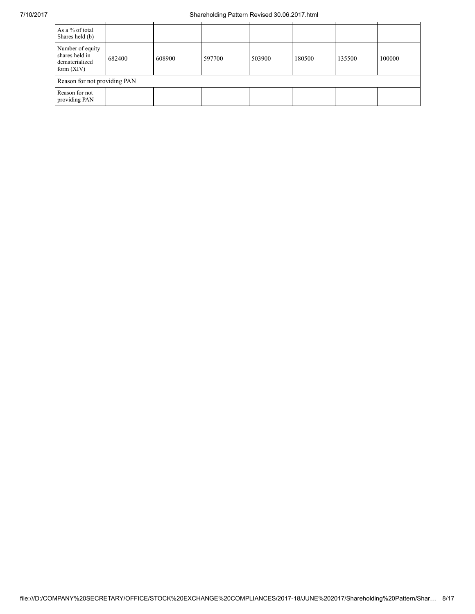| As a % of total<br>Shares held (b)                                   |        |        |        |        |        |        |        |
|----------------------------------------------------------------------|--------|--------|--------|--------|--------|--------|--------|
| Number of equity<br>shares held in<br>dematerialized<br>form $(XIV)$ | 682400 | 608900 | 597700 | 503900 | 180500 | 135500 | 100000 |
| Reason for not providing PAN                                         |        |        |        |        |        |        |        |
| Reason for not<br>providing PAN                                      |        |        |        |        |        |        |        |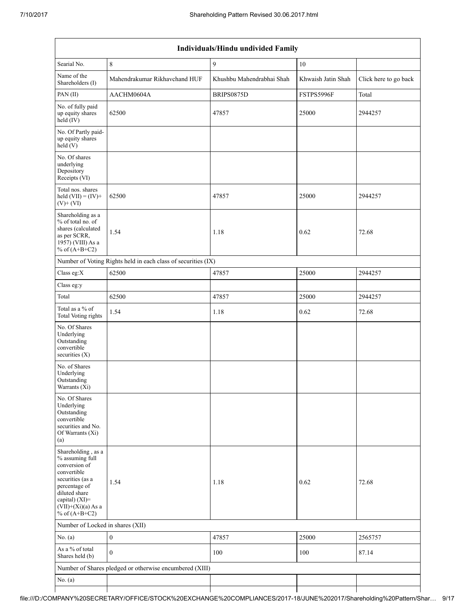|                                                                                                                                                                                             | Individuals/Hindu undivided Family                            |                           |                    |                       |  |  |  |  |  |  |  |  |
|---------------------------------------------------------------------------------------------------------------------------------------------------------------------------------------------|---------------------------------------------------------------|---------------------------|--------------------|-----------------------|--|--|--|--|--|--|--|--|
| Searial No.                                                                                                                                                                                 | 8                                                             | 9                         | 10                 |                       |  |  |  |  |  |  |  |  |
| Name of the<br>Shareholders (I)                                                                                                                                                             | Mahendrakumar Rikhavchand HUF                                 | Khushbu Mahendrabhai Shah | Khwaish Jatin Shah | Click here to go back |  |  |  |  |  |  |  |  |
| PAN(II)                                                                                                                                                                                     | AACHM0604A                                                    | BRIPS0875D                | FSTPS5996F         | Total                 |  |  |  |  |  |  |  |  |
| No. of fully paid<br>up equity shares<br>held (IV)                                                                                                                                          | 62500                                                         | 47857                     | 25000              | 2944257               |  |  |  |  |  |  |  |  |
| No. Of Partly paid-<br>up equity shares<br>held(V)                                                                                                                                          |                                                               |                           |                    |                       |  |  |  |  |  |  |  |  |
| No. Of shares<br>underlying<br>Depository<br>Receipts (VI)                                                                                                                                  |                                                               |                           |                    |                       |  |  |  |  |  |  |  |  |
| Total nos. shares<br>held $(VII) = (IV) +$<br>$(V)$ + $(VI)$                                                                                                                                | 62500                                                         | 47857                     | 25000              | 2944257               |  |  |  |  |  |  |  |  |
| Shareholding as a<br>% of total no. of<br>shares (calculated<br>as per SCRR,<br>1957) (VIII) As a<br>% of $(A+B+C2)$                                                                        | 1.54                                                          | 1.18                      | 0.62               | 72.68                 |  |  |  |  |  |  |  |  |
|                                                                                                                                                                                             | Number of Voting Rights held in each class of securities (IX) |                           |                    |                       |  |  |  |  |  |  |  |  |
| Class eg:X                                                                                                                                                                                  | 62500                                                         | 47857                     | 25000              | 2944257               |  |  |  |  |  |  |  |  |
| Class eg:y                                                                                                                                                                                  |                                                               |                           |                    |                       |  |  |  |  |  |  |  |  |
| Total                                                                                                                                                                                       | 62500                                                         | 47857                     | 25000              | 2944257               |  |  |  |  |  |  |  |  |
| Total as a % of<br>Total Voting rights                                                                                                                                                      | 1.54                                                          | 1.18                      | 0.62               | 72.68                 |  |  |  |  |  |  |  |  |
| No. Of Shares<br>Underlying<br>Outstanding<br>convertible<br>securities $(X)$                                                                                                               |                                                               |                           |                    |                       |  |  |  |  |  |  |  |  |
| No. of Shares<br>Underlying<br>Outstanding<br>Warrants (X1)                                                                                                                                 |                                                               |                           |                    |                       |  |  |  |  |  |  |  |  |
| No. Of Shares<br>Underlying<br>Outstanding<br>convertible<br>securities and No.<br>Of Warrants (Xi)<br>(a)                                                                                  |                                                               |                           |                    |                       |  |  |  |  |  |  |  |  |
| Shareholding, as a<br>% assuming full<br>conversion of<br>convertible<br>securities (as a<br>percentage of<br>diluted share<br>capital) $(XI)$ =<br>$(VII)+(Xi)(a)$ As a<br>% of $(A+B+C2)$ | 1.54                                                          | 1.18                      | 0.62               | 72.68                 |  |  |  |  |  |  |  |  |
| Number of Locked in shares (XII)                                                                                                                                                            |                                                               |                           |                    |                       |  |  |  |  |  |  |  |  |
| No. $(a)$                                                                                                                                                                                   | $\boldsymbol{0}$                                              | 47857                     | 25000              | 2565757               |  |  |  |  |  |  |  |  |
| As a % of total<br>Shares held (b)                                                                                                                                                          | $\theta$                                                      | 100                       | 100                | 87.14                 |  |  |  |  |  |  |  |  |
|                                                                                                                                                                                             | Number of Shares pledged or otherwise encumbered (XIII)       |                           |                    |                       |  |  |  |  |  |  |  |  |
| No. (a)                                                                                                                                                                                     |                                                               |                           |                    |                       |  |  |  |  |  |  |  |  |
|                                                                                                                                                                                             |                                                               |                           |                    |                       |  |  |  |  |  |  |  |  |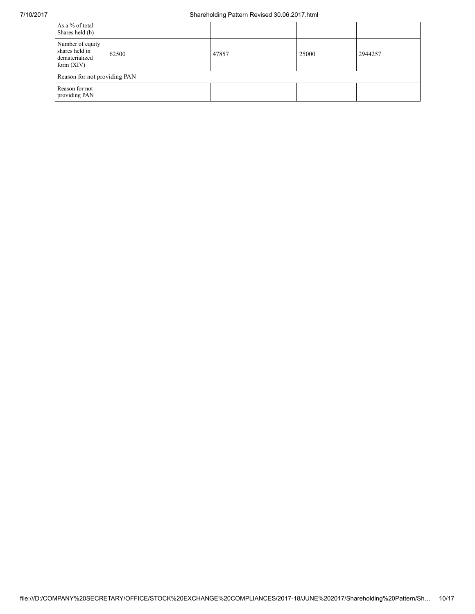| As a % of total<br>Shares held (b)                                   |       |       |       |         |
|----------------------------------------------------------------------|-------|-------|-------|---------|
| Number of equity<br>shares held in<br>dematerialized<br>form $(XIV)$ | 62500 | 47857 | 25000 | 2944257 |
| Reason for not providing PAN                                         |       |       |       |         |
| Reason for not<br>providing PAN                                      |       |       |       |         |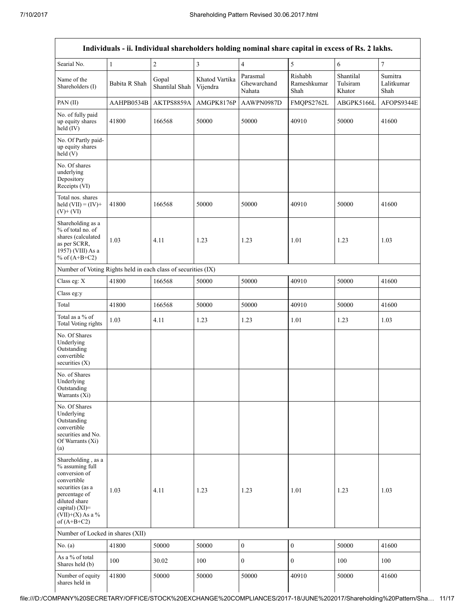|                                                                                                                                                                                      | Individuals - ii. Individual shareholders holding nominal share capital in excess of Rs. 2 lakhs. |                         |                            |                                   |                                |                                 |                               |  |  |  |  |  |  |
|--------------------------------------------------------------------------------------------------------------------------------------------------------------------------------------|---------------------------------------------------------------------------------------------------|-------------------------|----------------------------|-----------------------------------|--------------------------------|---------------------------------|-------------------------------|--|--|--|--|--|--|
| Searial No.                                                                                                                                                                          | $\mathbf{1}$                                                                                      | $\sqrt{2}$              | 3                          | $\overline{4}$                    | 5                              | 6                               | 7                             |  |  |  |  |  |  |
| Name of the<br>Shareholders (I)                                                                                                                                                      | Babita R Shah                                                                                     | Gopal<br>Shantilal Shah | Khatod Vartika<br>Vijendra | Parasmal<br>Ghewarchand<br>Nahata | Rishabh<br>Rameshkumar<br>Shah | Shantilal<br>Tulsiram<br>Khator | Sumitra<br>Lalitkumar<br>Shah |  |  |  |  |  |  |
| PAN(II)                                                                                                                                                                              | AAHPB0534B                                                                                        | AKTPS8859A              | AMGPK8176P                 | AAWPN0987D                        | FMQPS2762L                     | ABGPK5166L                      | AFOPS9344E                    |  |  |  |  |  |  |
| No. of fully paid<br>up equity shares<br>held $(IV)$                                                                                                                                 | 41800                                                                                             | 166568                  | 50000                      | 50000                             | 40910                          | 50000                           | 41600                         |  |  |  |  |  |  |
| No. Of Partly paid-<br>up equity shares<br>held(V)                                                                                                                                   |                                                                                                   |                         |                            |                                   |                                |                                 |                               |  |  |  |  |  |  |
| No. Of shares<br>underlying<br>Depository<br>Receipts (VI)                                                                                                                           |                                                                                                   |                         |                            |                                   |                                |                                 |                               |  |  |  |  |  |  |
| Total nos, shares<br>held $(VII) = (IV) +$<br>$(V)$ + $(VI)$                                                                                                                         | 41800                                                                                             | 166568                  | 50000                      | 50000                             | 40910                          | 50000                           | 41600                         |  |  |  |  |  |  |
| Shareholding as a<br>% of total no. of<br>shares (calculated<br>as per SCRR,<br>1957) (VIII) As a<br>% of $(A+B+C2)$                                                                 | 1.03                                                                                              | 4.11                    | 1.23                       | 1.23                              | 1.01                           | 1.23                            | 1.03                          |  |  |  |  |  |  |
| Number of Voting Rights held in each class of securities (IX)                                                                                                                        |                                                                                                   |                         |                            |                                   |                                |                                 |                               |  |  |  |  |  |  |
| Class eg: X                                                                                                                                                                          | 41800                                                                                             | 166568                  | 50000                      | 50000                             | 40910                          | 50000                           | 41600                         |  |  |  |  |  |  |
| Class eg:y                                                                                                                                                                           |                                                                                                   |                         |                            |                                   |                                |                                 |                               |  |  |  |  |  |  |
| Total                                                                                                                                                                                | 41800                                                                                             | 166568                  | 50000                      | 50000                             | 40910                          | 50000                           | 41600                         |  |  |  |  |  |  |
| Total as a % of<br>Total Voting rights                                                                                                                                               | 1.03                                                                                              | 4.11                    | 1.23                       | 1.23                              | 1.01                           | 1.23                            | 1.03                          |  |  |  |  |  |  |
| No. Of Shares<br>Underlying<br>Outstanding<br>convertible<br>securities $(X)$                                                                                                        |                                                                                                   |                         |                            |                                   |                                |                                 |                               |  |  |  |  |  |  |
| No. of Shares<br>Underlying<br>Outstanding<br>Warrants (Xi)                                                                                                                          |                                                                                                   |                         |                            |                                   |                                |                                 |                               |  |  |  |  |  |  |
| No. Of Shares<br>Underlying<br>Outstanding<br>convertible<br>securities and No.<br>Of Warrants (Xi)<br>(a)                                                                           |                                                                                                   |                         |                            |                                   |                                |                                 |                               |  |  |  |  |  |  |
| Shareholding, as a<br>% assuming full<br>conversion of<br>convertible<br>securities (as a<br>percentage of<br>diluted share<br>capital) (XI)=<br>$(VII)+(X)$ As a %<br>of $(A+B+C2)$ | 1.03                                                                                              | 4.11                    | 1.23                       | 1.23                              | 1.01                           | 1.23                            | 1.03                          |  |  |  |  |  |  |
| Number of Locked in shares (XII)                                                                                                                                                     |                                                                                                   |                         |                            |                                   |                                |                                 |                               |  |  |  |  |  |  |
| No. $(a)$                                                                                                                                                                            | 41800                                                                                             | 50000                   | 50000                      | $\boldsymbol{0}$                  | $\boldsymbol{0}$               | 50000                           | 41600                         |  |  |  |  |  |  |
| As a % of total<br>Shares held (b)                                                                                                                                                   | 100                                                                                               | 30.02                   | 100                        | 0                                 | $\boldsymbol{0}$               | 100                             | 100                           |  |  |  |  |  |  |
| Number of equity<br>shares held in                                                                                                                                                   | 41800                                                                                             | 50000                   | 50000                      | 50000                             | 40910                          | 50000                           | 41600                         |  |  |  |  |  |  |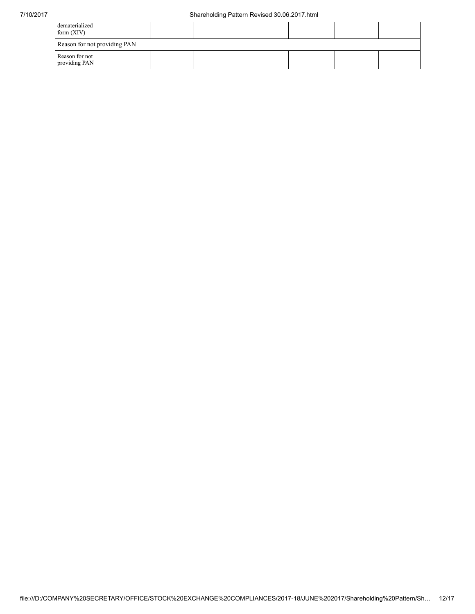| dematerialized<br>form $(XIV)$  |  |  |  |  |  |  |  |  |  |  |
|---------------------------------|--|--|--|--|--|--|--|--|--|--|
| Reason for not providing PAN    |  |  |  |  |  |  |  |  |  |  |
| Reason for not<br>providing PAN |  |  |  |  |  |  |  |  |  |  |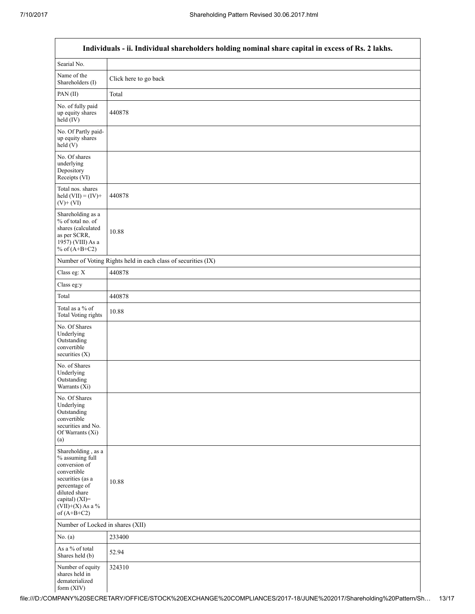|                                                                                                                                                                                         | Individuals - ii. Individual shareholders holding nominal share capital in excess of Rs. 2 lakhs. |
|-----------------------------------------------------------------------------------------------------------------------------------------------------------------------------------------|---------------------------------------------------------------------------------------------------|
| Searial No.                                                                                                                                                                             |                                                                                                   |
| Name of the<br>Shareholders (I)                                                                                                                                                         | Click here to go back                                                                             |
| PAN(II)                                                                                                                                                                                 | Total                                                                                             |
| No. of fully paid<br>up equity shares<br>$held$ (IV)                                                                                                                                    | 440878                                                                                            |
| No. Of Partly paid-<br>up equity shares<br>held(V)                                                                                                                                      |                                                                                                   |
| No. Of shares<br>underlying<br>Depository<br>Receipts (VI)                                                                                                                              |                                                                                                   |
| Total nos. shares<br>held $(VII) = (IV) +$<br>$(V)$ + $(VI)$                                                                                                                            | 440878                                                                                            |
| Shareholding as a<br>% of total no. of<br>shares (calculated<br>as per SCRR,<br>1957) (VIII) As a<br>% of $(A+B+C2)$                                                                    | 10.88                                                                                             |
|                                                                                                                                                                                         | Number of Voting Rights held in each class of securities (IX)                                     |
| Class eg: X                                                                                                                                                                             | 440878                                                                                            |
| Class eg:y                                                                                                                                                                              |                                                                                                   |
| Total                                                                                                                                                                                   | 440878                                                                                            |
| Total as a % of<br>Total Voting rights                                                                                                                                                  | 10.88                                                                                             |
| No. Of Shares<br>Underlying<br>Outstanding<br>convertible<br>securities (X)                                                                                                             |                                                                                                   |
| No. of Shares<br>Underlying<br>Outstanding<br>Warrants (Xi)                                                                                                                             |                                                                                                   |
| No. Of Shares<br>Underlying<br>Outstanding<br>convertible<br>securities and No.<br>Of Warrants (Xi)<br>(a)                                                                              |                                                                                                   |
| Shareholding, as a<br>% assuming full<br>conversion of<br>convertible<br>securities (as a<br>percentage of<br>diluted share<br>capital) $(XI)$ =<br>$(VII)+(X)$ As a %<br>of $(A+B+C2)$ | 10.88                                                                                             |
| Number of Locked in shares (XII)                                                                                                                                                        |                                                                                                   |
| No. $(a)$                                                                                                                                                                               | 233400                                                                                            |
| As a % of total<br>Shares held (b)                                                                                                                                                      | 52.94                                                                                             |
| Number of equity<br>shares held in<br>dematerialized<br>form (XIV)                                                                                                                      | 324310                                                                                            |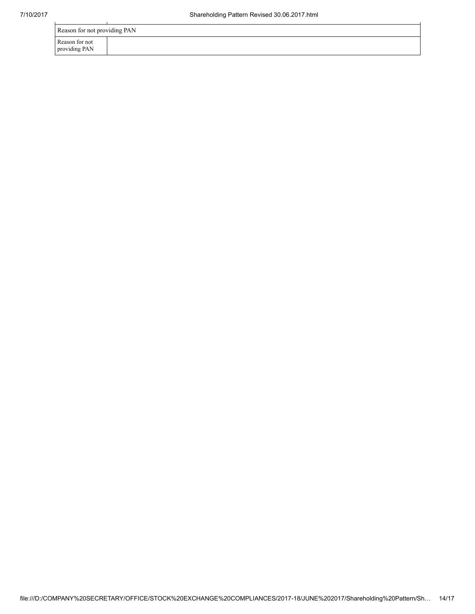| Reason for not providing PAN    |  |  |  |  |  |
|---------------------------------|--|--|--|--|--|
| Reason for not<br>providing PAN |  |  |  |  |  |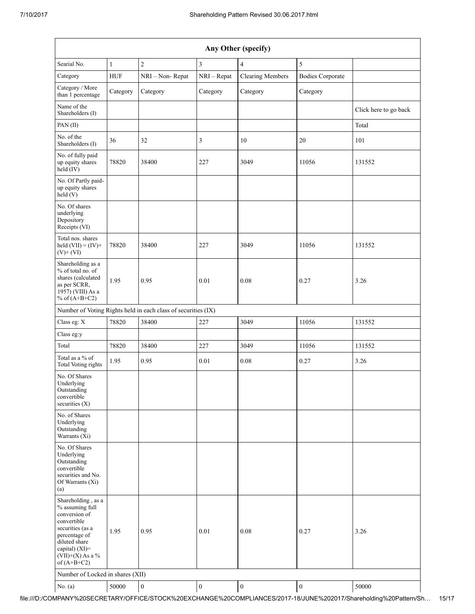| Any Other (specify)                                                                                                                                                                     |              |                                                               |                  |                         |                         |                       |  |  |
|-----------------------------------------------------------------------------------------------------------------------------------------------------------------------------------------|--------------|---------------------------------------------------------------|------------------|-------------------------|-------------------------|-----------------------|--|--|
| Searial No.                                                                                                                                                                             | $\mathbf{1}$ | $\overline{c}$                                                | $\mathfrak{Z}$   | $\overline{4}$          | 5                       |                       |  |  |
| Category                                                                                                                                                                                | <b>HUF</b>   | NRI - Non-Repat                                               | NRI - Repat      | <b>Clearing Members</b> | <b>Bodies Corporate</b> |                       |  |  |
| Category / More<br>than 1 percentage                                                                                                                                                    | Category     | Category                                                      | Category         | Category                | Category                |                       |  |  |
| Name of the<br>Shareholders (I)                                                                                                                                                         |              |                                                               |                  |                         |                         | Click here to go back |  |  |
| PAN(II)                                                                                                                                                                                 |              |                                                               |                  |                         |                         | Total                 |  |  |
| No. of the<br>Shareholders (I)                                                                                                                                                          | 36           | 32                                                            | 3                | 10                      | 20                      | 101                   |  |  |
| No. of fully paid<br>up equity shares<br>$held$ (IV)                                                                                                                                    | 78820        | 38400                                                         | 227              | 3049                    | 11056                   | 131552                |  |  |
| No. Of Partly paid-<br>up equity shares<br>$\text{held}(V)$                                                                                                                             |              |                                                               |                  |                         |                         |                       |  |  |
| No. Of shares<br>underlying<br>Depository<br>Receipts (VI)                                                                                                                              |              |                                                               |                  |                         |                         |                       |  |  |
| Total nos. shares<br>held $(VII) = (IV) +$<br>$(V)$ + $(VI)$                                                                                                                            | 78820        | 38400                                                         | 227              | 3049                    | 11056                   | 131552                |  |  |
| Shareholding as a<br>% of total no. of<br>shares (calculated<br>as per SCRR,<br>$19\overline{57}$ ) (VIII) As a<br>% of $(A+B+C2)$                                                      | 1.95         | 0.95                                                          | 0.01             | 0.08                    | 0.27                    | 3.26                  |  |  |
|                                                                                                                                                                                         |              | Number of Voting Rights held in each class of securities (IX) |                  |                         |                         |                       |  |  |
| Class eg: X                                                                                                                                                                             | 78820        | 38400                                                         | 227              | 3049                    | 11056                   | 131552                |  |  |
| Class eg:y                                                                                                                                                                              |              |                                                               |                  |                         |                         |                       |  |  |
| Total                                                                                                                                                                                   | 78820        | 38400                                                         | 227              | 3049                    | 11056                   | 131552                |  |  |
| Total as a % of<br>Total Voting rights                                                                                                                                                  | 1.95         | 0.95                                                          | 0.01             | 0.08                    | 0.27                    | 3.26                  |  |  |
| No. Of Shares<br>Underlying<br>Outstanding<br>convertible<br>securities (X)                                                                                                             |              |                                                               |                  |                         |                         |                       |  |  |
| No. of Shares<br>Underlying<br>Outstanding<br>Warrants (Xi)                                                                                                                             |              |                                                               |                  |                         |                         |                       |  |  |
| No. Of Shares<br>Underlying<br>Outstanding<br>convertible<br>securities and No.<br>Of Warrants (Xi)<br>(a)                                                                              |              |                                                               |                  |                         |                         |                       |  |  |
| Shareholding, as a<br>% assuming full<br>conversion of<br>convertible<br>securities (as a<br>percentage of<br>diluted share<br>capital) $(XI)$ =<br>$(VII)+(X)$ As a %<br>of $(A+B+C2)$ | 1.95         | 0.95                                                          | 0.01             | 0.08                    | 0.27                    | 3.26                  |  |  |
| Number of Locked in shares (XII)                                                                                                                                                        |              |                                                               |                  |                         |                         |                       |  |  |
| No. $(a)$                                                                                                                                                                               | 50000        | $\boldsymbol{0}$                                              | $\boldsymbol{0}$ | $\boldsymbol{0}$        | $\boldsymbol{0}$        | 50000                 |  |  |